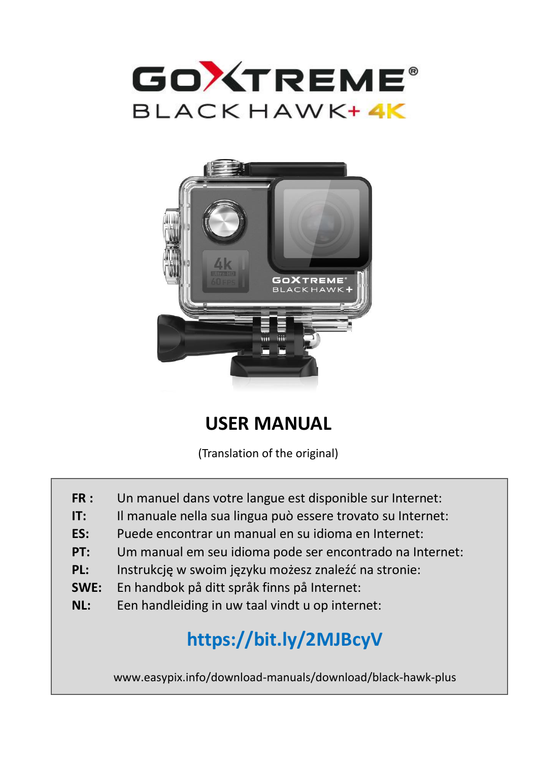



# **USER MANUAL**

(Translation of the original)

- **FR :** Un manuel dans votre langue est disponible sur Internet:
- **IT:** Il manuale nella sua lingua può essere trovato su Internet:
- **ES:** Puede encontrar un manual en su idioma en Internet:
- **PT:** Um manual em seu idioma pode ser encontrado na Internet:
- **PL:** Instrukcję w swoim języku możesz znaleźć na stronie:
- **SWE:** En handbok på ditt språk finns på Internet:
- **NL:** Een handleiding in uw taal vindt u op internet:

# **https://bit.ly/2MJBcyV**

www.easypix.info/download-manuals/download/black-hawk-plus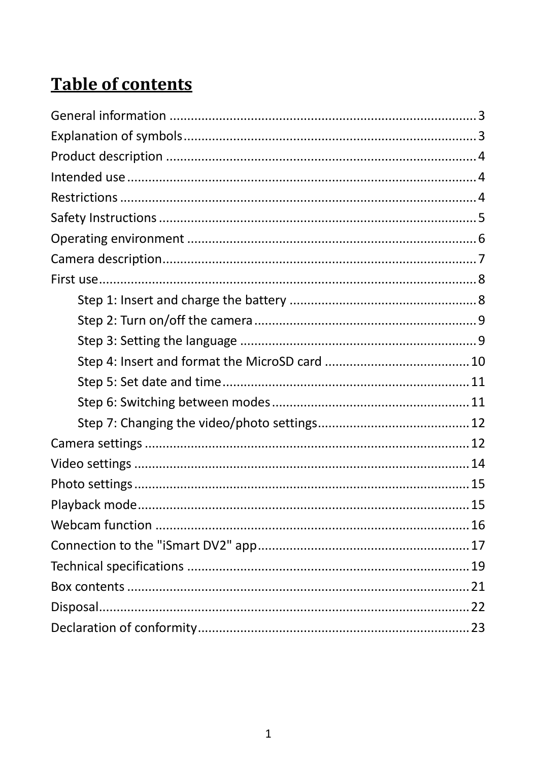# **Table of contents**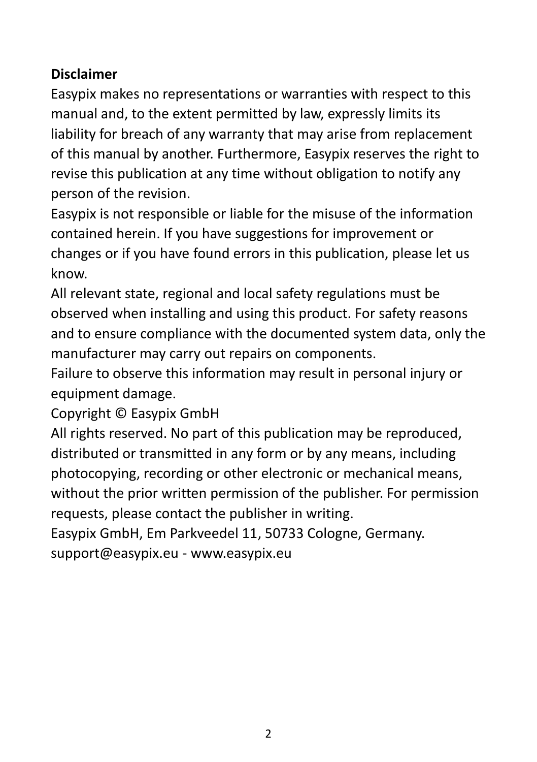#### **Disclaimer**

Easypix makes no representations or warranties with respect to this manual and, to the extent permitted by law, expressly limits its liability for breach of any warranty that may arise from replacement of this manual by another. Furthermore, Easypix reserves the right to revise this publication at any time without obligation to notify any person of the revision.

Easypix is not responsible or liable for the misuse of the information contained herein. If you have suggestions for improvement or changes or if you have found errors in this publication, please let us know.

All relevant state, regional and local safety regulations must be observed when installing and using this product. For safety reasons and to ensure compliance with the documented system data, only the manufacturer may carry out repairs on components.

Failure to observe this information may result in personal injury or equipment damage.

Copyright © Easypix GmbH

All rights reserved. No part of this publication may be reproduced, distributed or transmitted in any form or by any means, including photocopying, recording or other electronic or mechanical means, without the prior written permission of the publisher. For permission requests, please contact the publisher in writing.

Easypix GmbH, Em Parkveedel 11, 50733 Cologne, Germany. support@easypix.eu - www.easypix.eu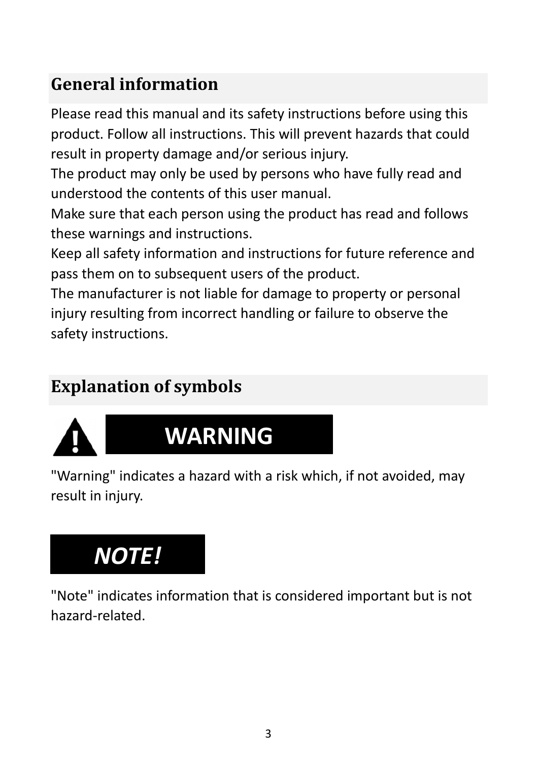# <span id="page-3-0"></span>**General information**

Please read this manual and its safety instructions before using this product. Follow all instructions. This will prevent hazards that could result in property damage and/or serious injury.

The product may only be used by persons who have fully read and understood the contents of this user manual.

Make sure that each person using the product has read and follows these warnings and instructions.

Keep all safety information and instructions for future reference and pass them on to subsequent users of the product.

The manufacturer is not liable for damage to property or personal injury resulting from incorrect handling or failure to observe the safety instructions.

# <span id="page-3-1"></span>**Explanation of symbols**



# **WARNING**

"Warning" indicates a hazard with a risk which, if not avoided, may result in injury.

# *NOTE!*

"Note" indicates information that is considered important but is not hazard-related.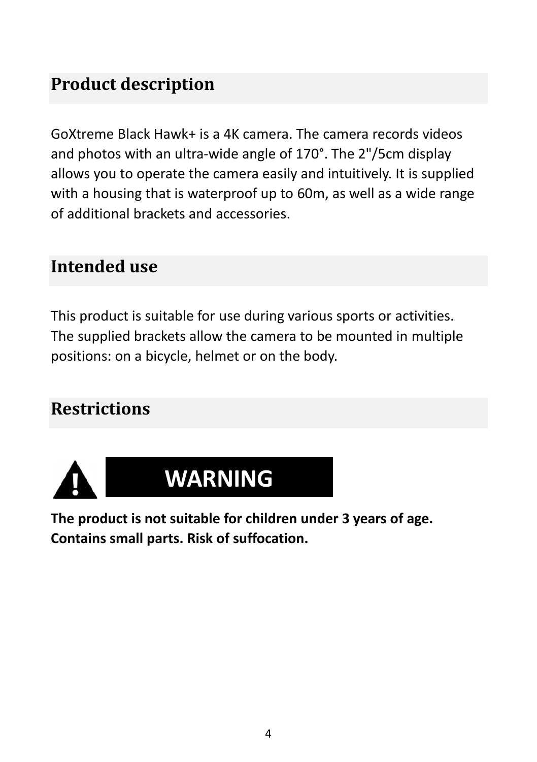# <span id="page-4-0"></span>**Product description**

GoXtreme Black Hawk+ is a 4K camera. The camera records videos and photos with an ultra-wide angle of 170°. The 2"/5cm display allows you to operate the camera easily and intuitively. It is supplied with a housing that is waterproof up to 60m, as well as a wide range of additional brackets and accessories.

### <span id="page-4-1"></span>**Intended use**

This product is suitable for use during various sports or activities. The supplied brackets allow the camera to be mounted in multiple positions: on a bicycle, helmet or on the body.

# <span id="page-4-2"></span>**Restrictions**





**The product is not suitable for children under 3 years of age. Contains small parts. Risk of suffocation.**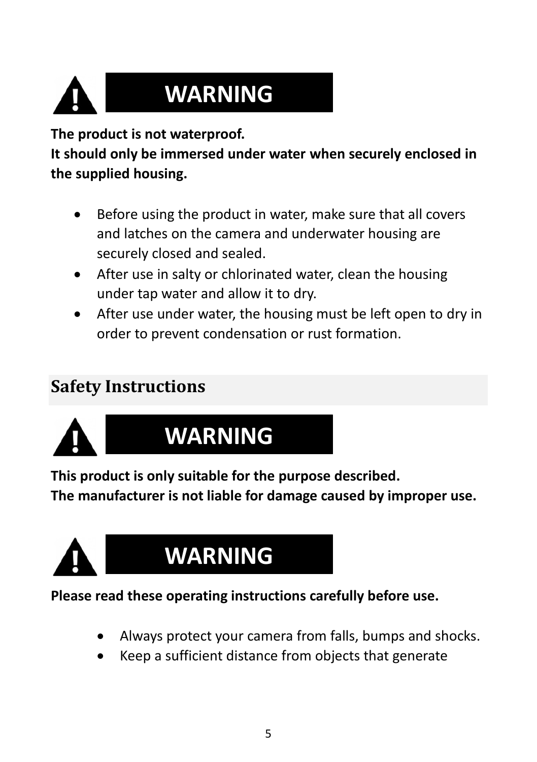# **WARNING**

**The product is not waterproof.** 

**It should only be immersed under water when securely enclosed in the supplied housing.**

- Before using the product in water, make sure that all covers and latches on the camera and underwater housing are securely closed and sealed.
- After use in salty or chlorinated water, clean the housing under tap water and allow it to dry.
- After use under water, the housing must be left open to dry in order to prevent condensation or rust formation.

# <span id="page-5-0"></span>**Safety Instructions**



# **WARNING**

**This product is only suitable for the purpose described.**

**The manufacturer is not liable for damage caused by improper use.**



# **WARNING**

#### **Please read these operating instructions carefully before use.**

- Always protect your camera from falls, bumps and shocks.
- Keep a sufficient distance from objects that generate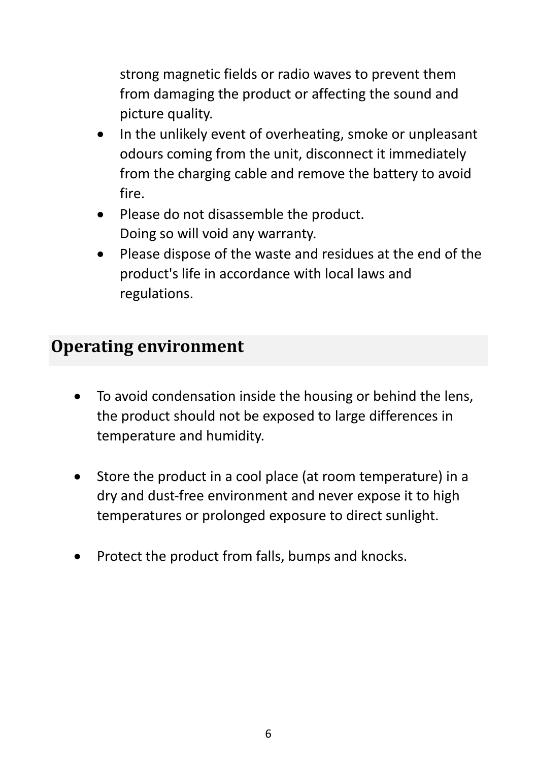strong magnetic fields or radio waves to prevent them from damaging the product or affecting the sound and picture quality.

- In the unlikely event of overheating, smoke or unpleasant odours coming from the unit, disconnect it immediately from the charging cable and remove the battery to avoid fire.
- Please do not disassemble the product. Doing so will void any warranty.
- Please dispose of the waste and residues at the end of the product's life in accordance with local laws and regulations.

### <span id="page-6-0"></span>**Operating environment**

- To avoid condensation inside the housing or behind the lens, the product should not be exposed to large differences in temperature and humidity.
- Store the product in a cool place (at room temperature) in a dry and dust-free environment and never expose it to high temperatures or prolonged exposure to direct sunlight.
- Protect the product from falls, bumps and knocks.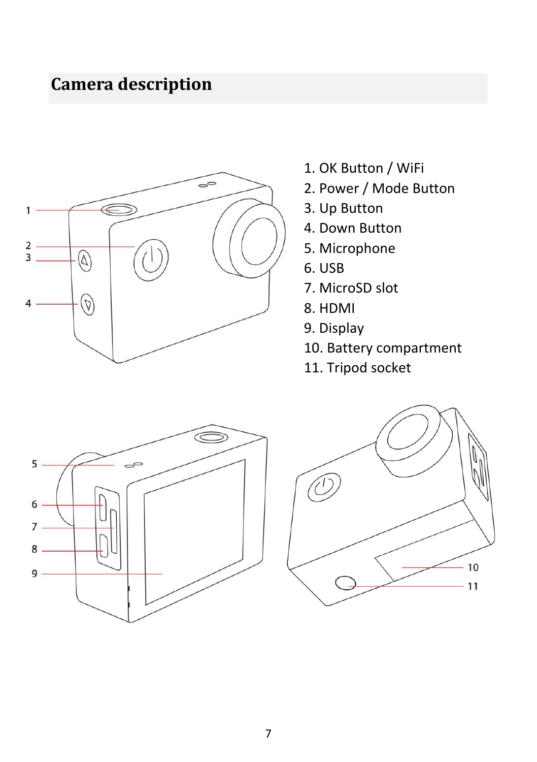# <span id="page-7-0"></span>**Camera description**



- 1. OK Button / WiFi
- 2. Power / Mode Button
- 3. Up Button
- 4. Down Button
- 5. Microphone
- 6. USB
- 7. MicroSD slot
- 8. HDMI
- 9. Display
- 10. Battery compartment
- 11. Tripod socket



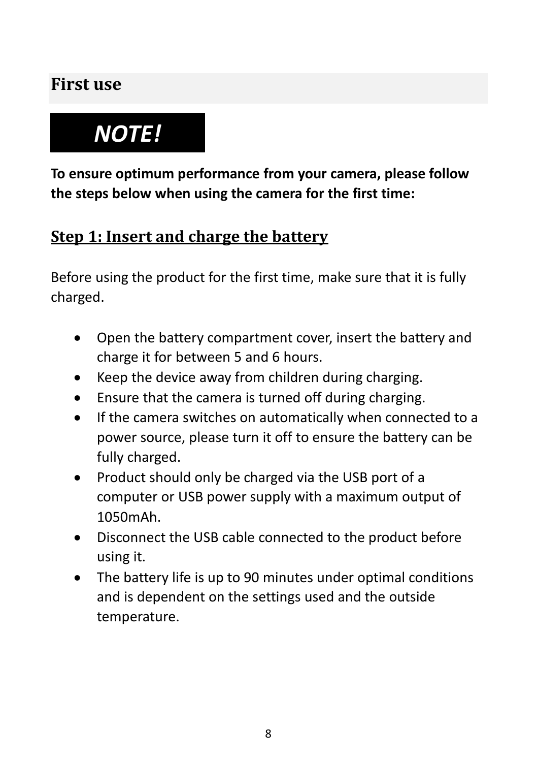# <span id="page-8-0"></span>**First use**

# *NOTE!*

**To ensure optimum performance from your camera, please follow the steps below when using the camera for the first time:**

### <span id="page-8-1"></span>**Step 1: Insert and charge the battery**

Before using the product for the first time, make sure that it is fully charged.

- Open the battery compartment cover, insert the battery and charge it for between 5 and 6 hours.
- Keep the device away from children during charging.
- Ensure that the camera is turned off during charging.
- If the camera switches on automatically when connected to a power source, please turn it off to ensure the battery can be fully charged.
- Product should only be charged via the USB port of a computer or USB power supply with a maximum output of 1050mAh.
- Disconnect the USB cable connected to the product before using it.
- The battery life is up to 90 minutes under optimal conditions and is dependent on the settings used and the outside temperature.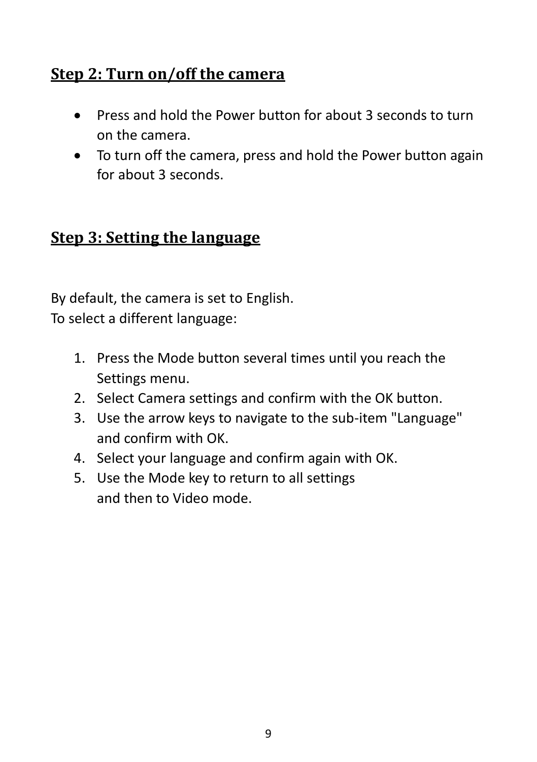### <span id="page-9-0"></span>**Step 2: Turn on/off the camera**

- Press and hold the Power button for about 3 seconds to turn on the camera.
- To turn off the camera, press and hold the Power button again for about 3 seconds.

### <span id="page-9-1"></span>**Step 3: Setting the language**

By default, the camera is set to English. To select a different language:

- 1. Press the Mode button several times until you reach the Settings menu.
- 2. Select Camera settings and confirm with the OK button.
- 3. Use the arrow keys to navigate to the sub-item "Language" and confirm with OK.
- 4. Select your language and confirm again with OK.
- 5. Use the Mode key to return to all settings and then to Video mode.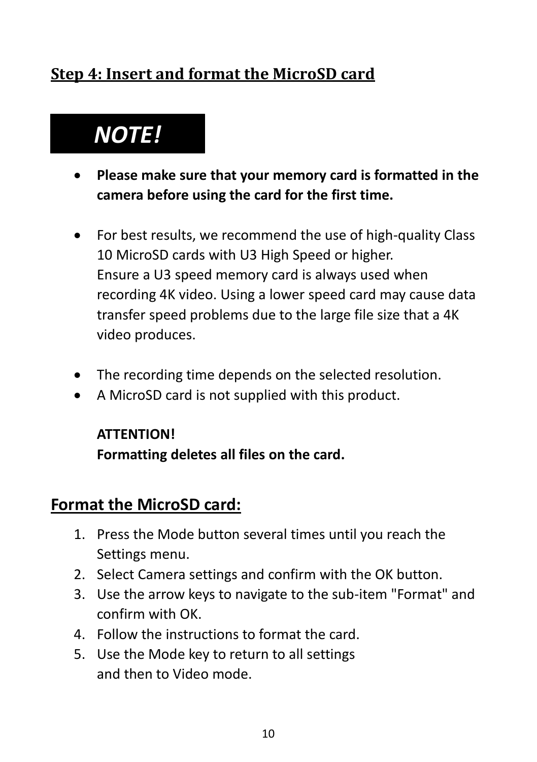### <span id="page-10-0"></span>**Step 4: Insert and format the MicroSD card**

# *NOTE!*

- **Please make sure that your memory card is formatted in the camera before using the card for the first time.**
- For best results, we recommend the use of high-quality Class 10 MicroSD cards with U3 High Speed or higher. Ensure a U3 speed memory card is always used when recording 4K video. Using a lower speed card may cause data transfer speed problems due to the large file size that a 4K video produces.
- The recording time depends on the selected resolution.
- A MicroSD card is not supplied with this product.

#### **ATTENTION!**

**Formatting deletes all files on the card.**

### **Format the MicroSD card:**

- 1. Press the Mode button several times until you reach the Settings menu.
- 2. Select Camera settings and confirm with the OK button.
- 3. Use the arrow keys to navigate to the sub-item "Format" and confirm with OK.
- 4. Follow the instructions to format the card.
- 5. Use the Mode key to return to all settings and then to Video mode.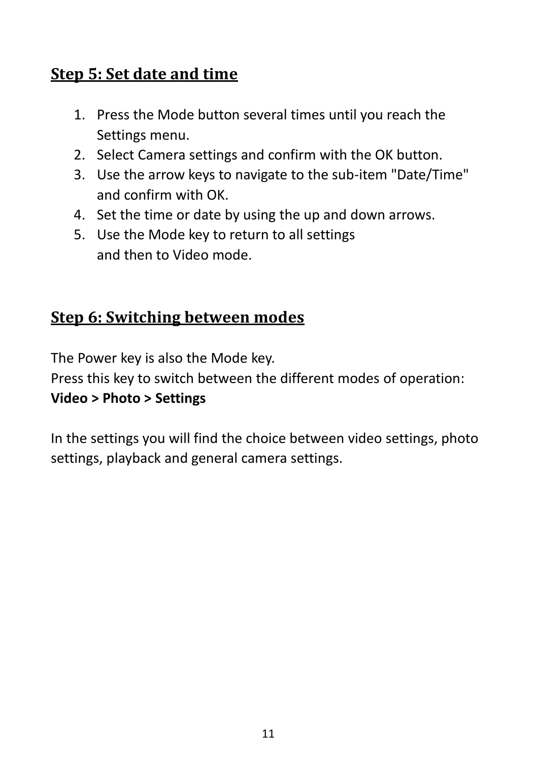### <span id="page-11-0"></span>**Step 5: Set date and time**

- 1. Press the Mode button several times until you reach the Settings menu.
- 2. Select Camera settings and confirm with the OK button.
- 3. Use the arrow keys to navigate to the sub-item "Date/Time" and confirm with OK.
- 4. Set the time or date by using the up and down arrows.
- 5. Use the Mode key to return to all settings and then to Video mode.

### <span id="page-11-1"></span>**Step 6: Switching between modes**

The Power key is also the Mode key.

Press this key to switch between the different modes of operation:

#### **Video > Photo > Settings**

In the settings you will find the choice between video settings, photo settings, playback and general camera settings.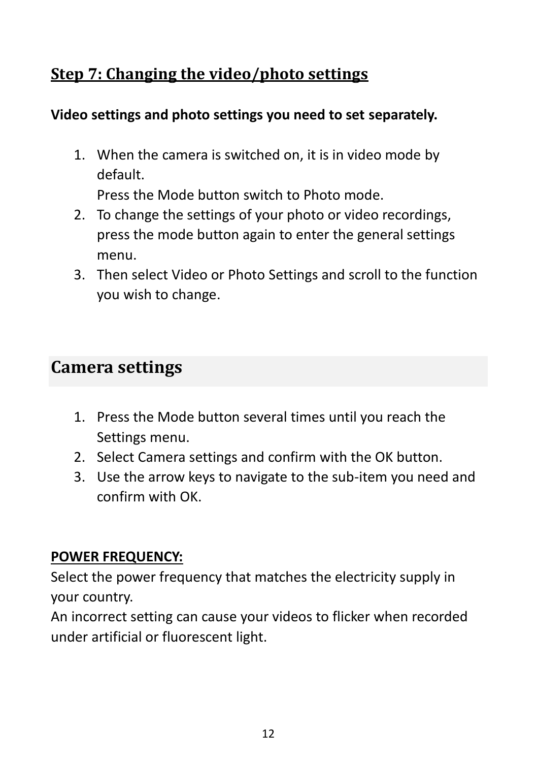### <span id="page-12-0"></span>**Step 7: Changing the video/photo settings**

#### **Video settings and photo settings you need to set separately.**

1. When the camera is switched on, it is in video mode by default.

Press the Mode button switch to Photo mode.

- 2. To change the settings of your photo or video recordings, press the mode button again to enter the general settings menu.
- 3. Then select Video or Photo Settings and scroll to the function you wish to change.

# <span id="page-12-1"></span>**Camera settings**

- 1. Press the Mode button several times until you reach the Settings menu.
- 2. Select Camera settings and confirm with the OK button.
- 3. Use the arrow keys to navigate to the sub-item you need and confirm with OK.

#### **POWER FREQUENCY:**

Select the power frequency that matches the electricity supply in your country.

An incorrect setting can cause your videos to flicker when recorded under artificial or fluorescent light.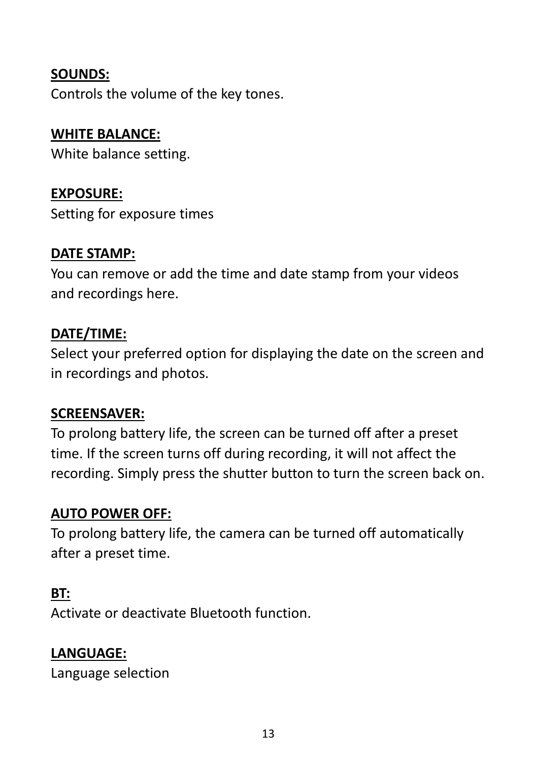#### **SOUNDS:**

Controls the volume of the key tones.

#### **WHITE BALANCE:**

White balance setting.

#### **EXPOSURE:**

Setting for exposure times

#### **DATE STAMP:**

You can remove or add the time and date stamp from your videos and recordings here.

#### **DATE/TIME:**

Select your preferred option for displaying the date on the screen and in recordings and photos.

#### **SCREENSAVER:**

To prolong battery life, the screen can be turned off after a preset time. If the screen turns off during recording, it will not affect the recording. Simply press the shutter button to turn the screen back on.

#### **AUTO POWER OFF:**

To prolong battery life, the camera can be turned off automatically after a preset time.

#### **BT:**

Activate or deactivate Bluetooth function.

#### **LANGUAGE:**

Language selection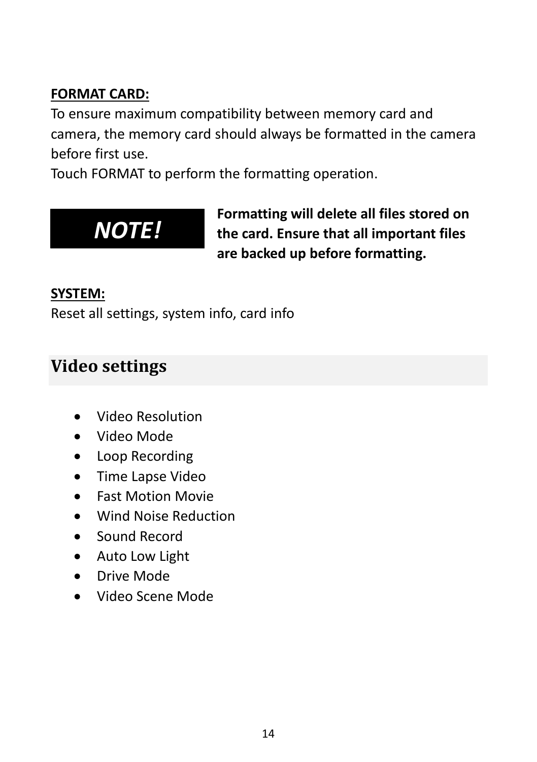#### **FORMAT CARD:**

To ensure maximum compatibility between memory card and camera, the memory card should always be formatted in the camera before first use.

Touch FORMAT to perform the formatting operation.



**Formatting will delete all files stored on the card. Ensure that all important files are backed up before formatting.**

#### **SYSTEM:**

Reset all settings, system info, card info

# <span id="page-14-0"></span>**Video settings**

- Video Resolution
- Video Mode
- Loop Recording
- Time Lapse Video
- Fast Motion Movie
- Wind Noise Reduction
- Sound Record
- Auto Low Light
- Drive Mode
- Video Scene Mode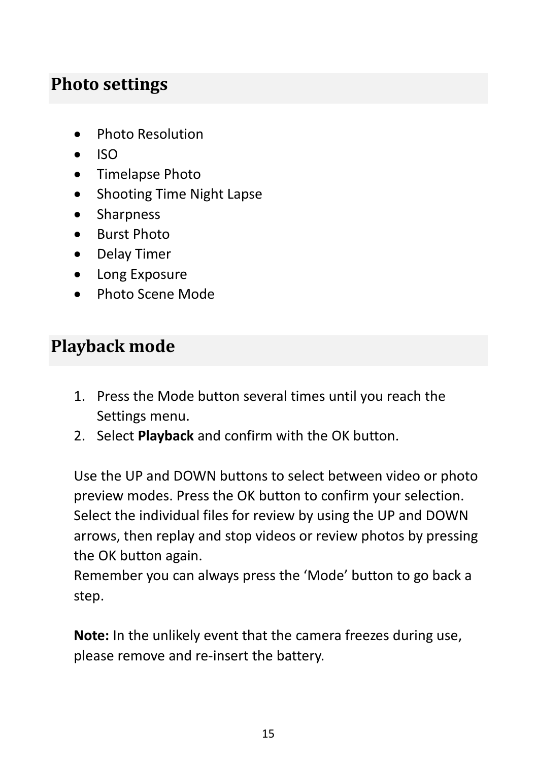### <span id="page-15-0"></span>**Photo settings**

- Photo Resolution
- ISO
- Timelapse Photo
- Shooting Time Night Lapse
- Sharpness
- Burst Photo
- Delay Timer
- Long Exposure
- Photo Scene Mode

# <span id="page-15-1"></span>**Playback mode**

- 1. Press the Mode button several times until you reach the Settings menu.
- 2. Select **Playback** and confirm with the OK button.

Use the UP and DOWN buttons to select between video or photo preview modes. Press the OK button to confirm your selection. Select the individual files for review by using the UP and DOWN arrows, then replay and stop videos or review photos by pressing the OK button again.

Remember you can always press the 'Mode' button to go back a step.

**Note:** In the unlikely event that the camera freezes during use, please remove and re-insert the battery.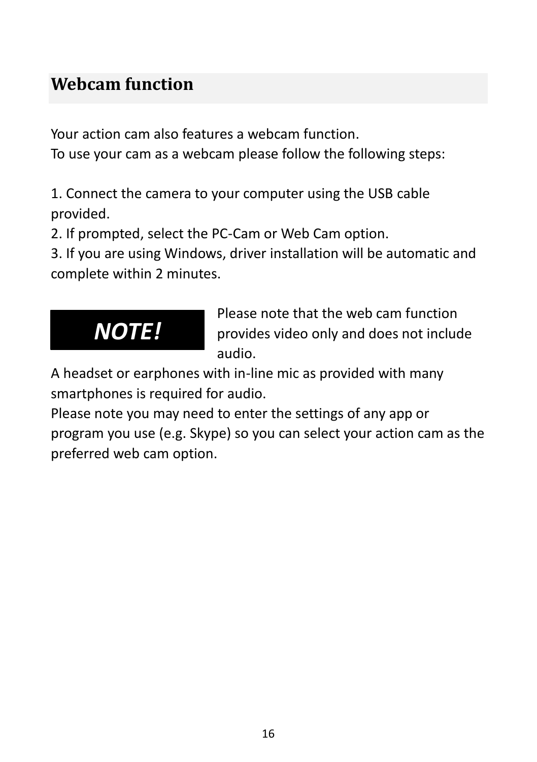# <span id="page-16-0"></span>**Webcam function**

Your action cam also features a webcam function.

To use your cam as a webcam please follow the following steps:

1. Connect the camera to your computer using the USB cable provided.

2. If prompted, select the PC-Cam or Web Cam option.

3. If you are using Windows, driver installation will be automatic and complete within 2 minutes.



Please note that the web cam function provides video only and does not include audio.

A headset or earphones with in-line mic as provided with many smartphones is required for audio.

Please note you may need to enter the settings of any app or program you use (e.g. Skype) so you can select your action cam as the preferred web cam option.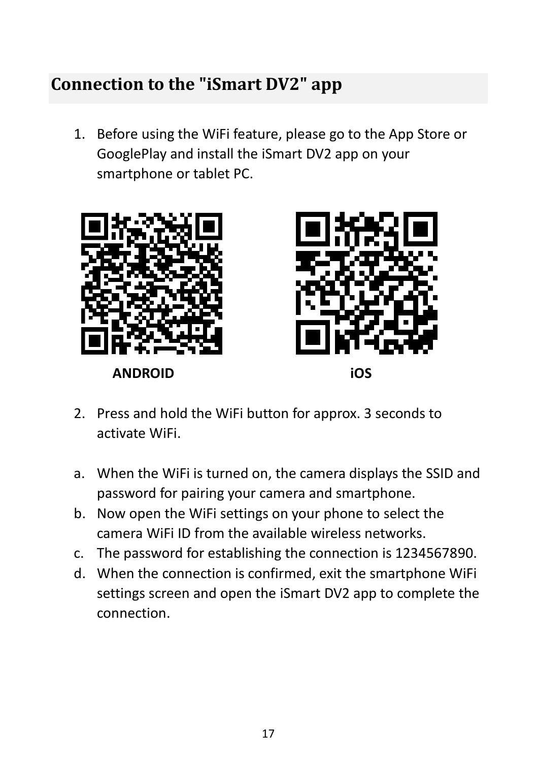## <span id="page-17-0"></span>**Connection to the "iSmart DV2" app**

1. Before using the WiFi feature, please go to the App Store or GooglePlay and install the iSmart DV2 app on your smartphone or tablet PC.





- 2. Press and hold the WiFi button for approx. 3 seconds to activate WiFi.
- a. When the WiFi is turned on, the camera displays the SSID and password for pairing your camera and smartphone.
- b. Now open the WiFi settings on your phone to select the camera WiFi ID from the available wireless networks.
- c. The password for establishing the connection is 1234567890.
- d. When the connection is confirmed, exit the smartphone WiFi settings screen and open the iSmart DV2 app to complete the connection.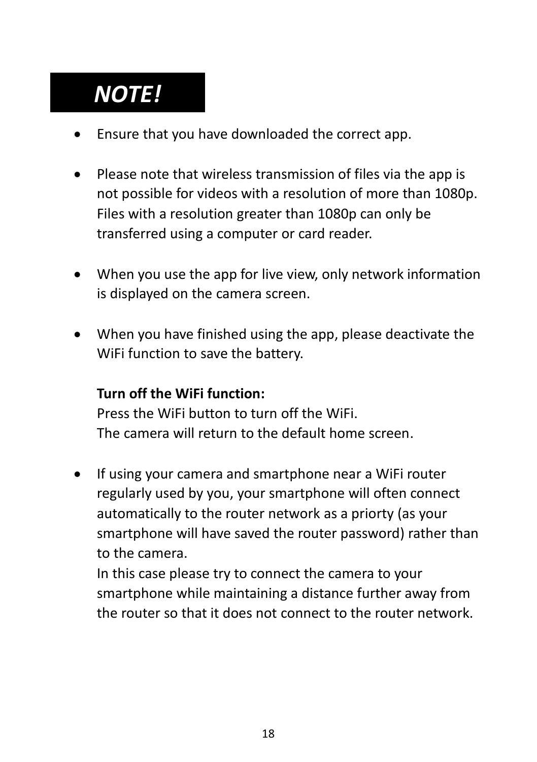# *NOTE!*

- Ensure that you have downloaded the correct app.
- Please note that wireless transmission of files via the app is not possible for videos with a resolution of more than 1080p. Files with a resolution greater than 1080p can only be transferred using a computer or card reader.
- When you use the app for live view, only network information is displayed on the camera screen.
- When you have finished using the app, please deactivate the WiFi function to save the battery.

#### **Turn off the WiFi function:**

Press the WiFi button to turn off the WiFi. The camera will return to the default home screen.

If using your camera and smartphone near a WiFi router regularly used by you, your smartphone will often connect automatically to the router network as a priorty (as your smartphone will have saved the router password) rather than to the camera.

In this case please try to connect the camera to your smartphone while maintaining a distance further away from the router so that it does not connect to the router network.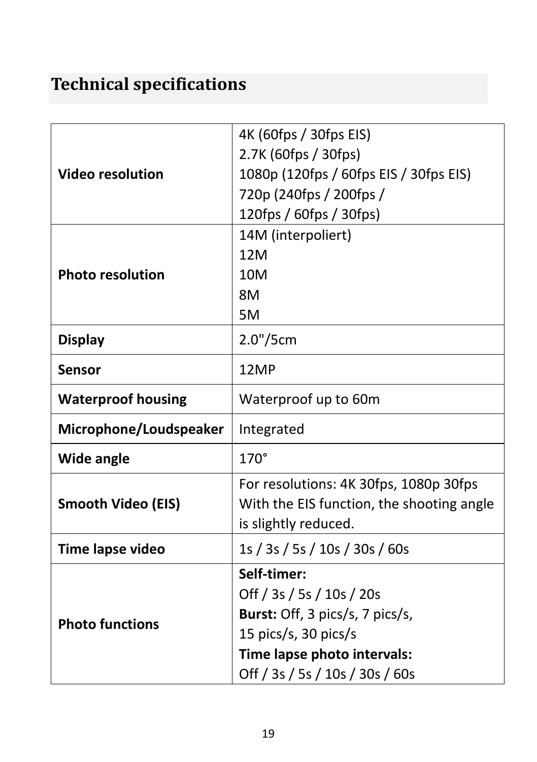# <span id="page-19-0"></span>**Technical specifications**

| <b>Video resolution</b>   | 4K (60fps / 30fps EIS)                    |
|---------------------------|-------------------------------------------|
|                           | 2.7K (60fps / 30fps)                      |
|                           | 1080p (120fps / 60fps EIS / 30fps EIS)    |
|                           | 720p (240fps / 200fps /                   |
|                           | 120fps / 60fps / 30fps)                   |
| <b>Photo resolution</b>   | 14M (interpoliert)                        |
|                           | 12M                                       |
|                           | 10M                                       |
|                           | 8M                                        |
|                           | 5M                                        |
| <b>Display</b>            | 2.0"/5cm                                  |
| <b>Sensor</b>             | 12MP                                      |
| <b>Waterproof housing</b> | Waterproof up to 60m                      |
| Microphone/Loudspeaker    | Integrated                                |
| <b>Wide angle</b>         | $170^\circ$                               |
| <b>Smooth Video (EIS)</b> | For resolutions: 4K 30fps, 1080p 30fps    |
|                           | With the EIS function, the shooting angle |
|                           | is slightly reduced.                      |
| Time lapse video          | 1s / 3s / 5s / 10s / 30s / 60s            |
| <b>Photo functions</b>    | Self-timer:                               |
|                           | Off / 3s / 5s / 10s / 20s                 |
|                           | Burst: Off, 3 pics/s, 7 pics/s,           |
|                           | 15 pics/s, 30 pics/s                      |
|                           | Time lapse photo intervals:               |
|                           | Off / 3s / 5s / 10s / 30s / 60s           |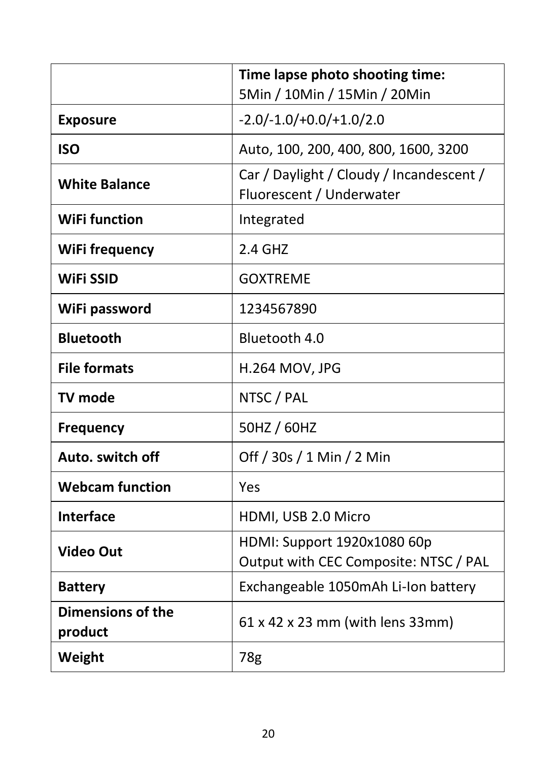|                                     | Time lapse photo shooting time:<br>5Min / 10Min / 15Min / 20Min      |
|-------------------------------------|----------------------------------------------------------------------|
| <b>Exposure</b>                     | $-2.0/-1.0/+0.0/+1.0/2.0$                                            |
| <b>ISO</b>                          | Auto, 100, 200, 400, 800, 1600, 3200                                 |
| <b>White Balance</b>                | Car / Daylight / Cloudy / Incandescent /<br>Fluorescent / Underwater |
| <b>WiFi function</b>                | Integrated                                                           |
| WiFi frequency                      | 2.4 GHZ                                                              |
| <b>WiFi SSID</b>                    | <b>GOXTREME</b>                                                      |
| WiFi password                       | 1234567890                                                           |
| <b>Bluetooth</b>                    | Bluetooth 4.0                                                        |
| <b>File formats</b>                 | H.264 MOV, JPG                                                       |
| TV mode                             | NTSC / PAL                                                           |
| <b>Frequency</b>                    | 50HZ / 60HZ                                                          |
| Auto, switch off                    | Off / 30s / 1 Min / 2 Min                                            |
| <b>Webcam function</b>              | Yes                                                                  |
| <b>Interface</b>                    | HDMI, USB 2.0 Micro                                                  |
| <b>Video Out</b>                    | HDMI: Support 1920x1080 60p<br>Output with CEC Composite: NTSC / PAL |
| <b>Battery</b>                      | Exchangeable 1050mAh Li-Ion battery                                  |
| <b>Dimensions of the</b><br>product | 61 x 42 x 23 mm (with lens 33mm)                                     |
| Weight                              | 78g                                                                  |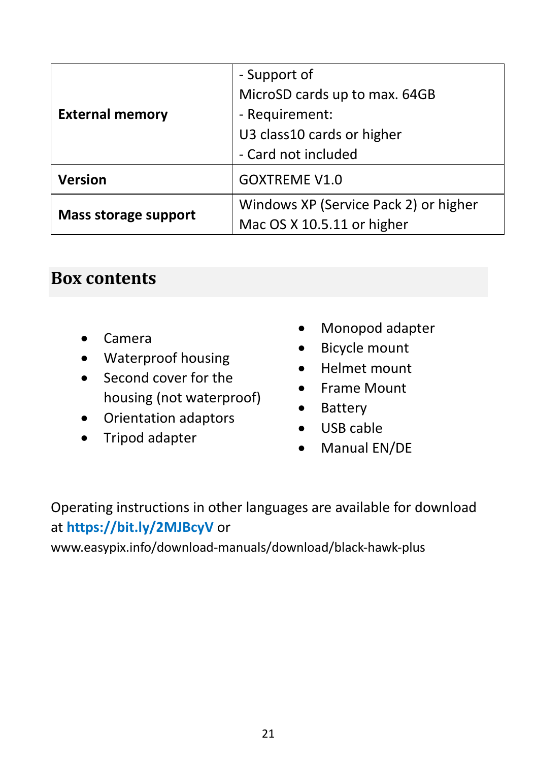|                        | - Support of                          |
|------------------------|---------------------------------------|
| <b>External memory</b> | MicroSD cards up to max. 64GB         |
|                        | - Requirement:                        |
|                        | U3 class10 cards or higher            |
|                        | - Card not included                   |
| <b>Version</b>         | <b>GOXTREME V1.0</b>                  |
| Mass storage support   | Windows XP (Service Pack 2) or higher |
|                        | Mac OS X 10.5.11 or higher            |

#### <span id="page-21-0"></span>**Box contents**

- Camera
- Waterproof housing
- Second cover for the housing (not waterproof)
- Orientation adaptors
- Tripod adapter
- Monopod adapter
- Bicycle mount
- Helmet mount
- Frame Mount
- Battery
- USB cable
- Manual EN/DE

Operating instructions in other languages are available for download at **https://bit.ly/2MJBcyV** or

www.easypix.info/download-manuals/download/black-hawk-plus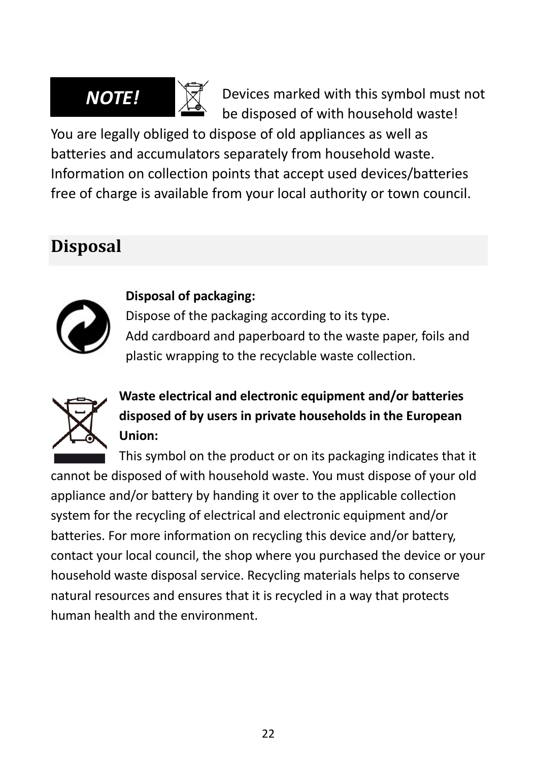

Devices marked with this symbol must not be disposed of with household waste!

You are legally obliged to dispose of old appliances as well as batteries and accumulators separately from household waste. Information on collection points that accept used devices/batteries free of charge is available from your local authority or town council.

# <span id="page-22-0"></span>**Disposal**



#### **Disposal of packaging:**

Dispose of the packaging according to its type. Add cardboard and paperboard to the waste paper, foils and plastic wrapping to the recyclable waste collection.



**Waste electrical and electronic equipment and/or batteries disposed of by users in private households in the European Union:** 

This symbol on the product or on its packaging indicates that it cannot be disposed of with household waste. You must dispose of your old appliance and/or battery by handing it over to the applicable collection system for the recycling of electrical and electronic equipment and/or batteries. For more information on recycling this device and/or battery, contact your local council, the shop where you purchased the device or your household waste disposal service. Recycling materials helps to conserve natural resources and ensures that it is recycled in a way that protects human health and the environment.